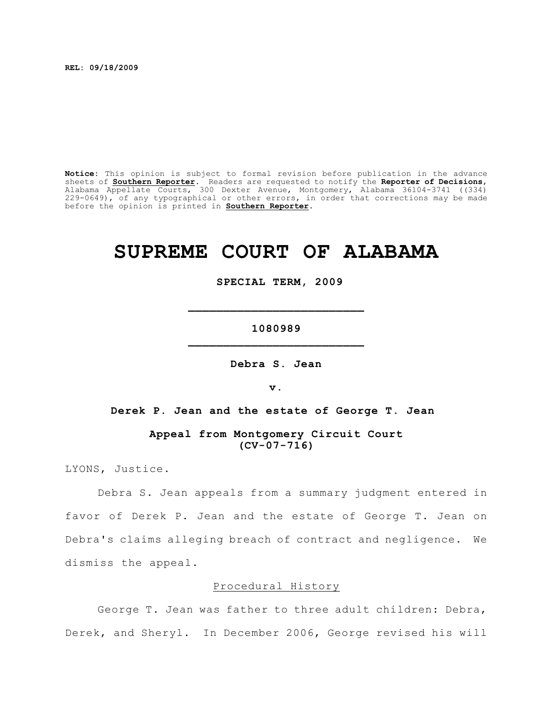**REL: 09/18/2009**

**Notice:** This opinion is subject to formal revision before publication in the advance sheets of **Southern Reporter**. Readers are requested to notify the **Reporter of Decisions**, Alabama Appellate Courts, 300 Dexter Avenue, Montgomery, Alabama 36104-3741 ((334) 229-0649), of any typographical or other errors, in order that corrections may be made before the opinion is printed in **Southern Reporter**.

# **SUPREME COURT OF ALABAMA**

 **SPECIAL TERM, 2009**

**1080989**

**\_\_\_\_\_\_\_\_\_\_\_\_\_\_\_\_\_\_\_\_\_\_\_\_\_**

**Debra S. Jean**

**v.**

**Derek P. Jean and the estate of George T. Jean** 

**Appeal from Montgomery Circuit Court (CV-07-716)**

LYONS, Justice.

Debra S. Jean appeals from a summary judgment entered in favor of Derek P. Jean and the estate of George T. Jean on Debra's claims alleging breach of contract and negligence. We dismiss the appeal.

#### Procedural History

George T. Jean was father to three adult children: Debra, Derek, and Sheryl. In December 2006, George revised his will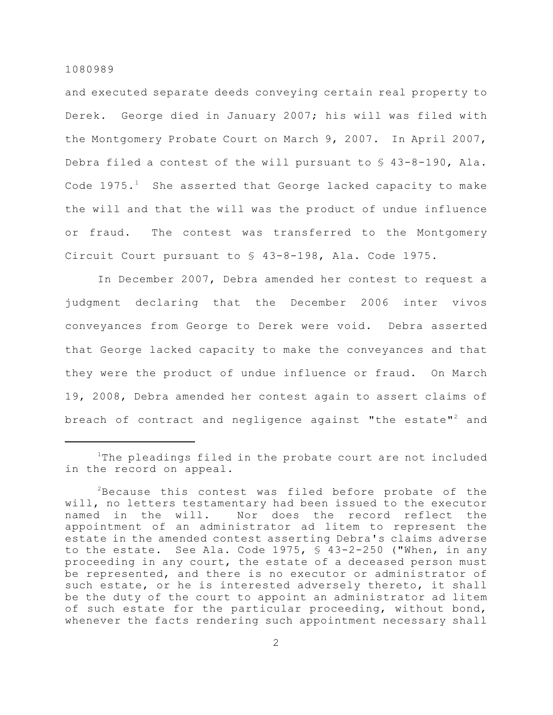and executed separate deeds conveying certain real property to Derek. George died in January 2007; his will was filed with the Montgomery Probate Court on March 9, 2007. In April 2007, Debra filed a contest of the will pursuant to § 43-8-190, Ala. Code  $1975.$ <sup>1</sup> She asserted that George lacked capacity to make the will and that the will was the product of undue influence or fraud. The contest was transferred to the Montgomery Circuit Court pursuant to § 43-8-198, Ala. Code 1975.

In December 2007, Debra amended her contest to request a judgment declaring that the December 2006 inter vivos conveyances from George to Derek were void. Debra asserted that George lacked capacity to make the conveyances and that they were the product of undue influence or fraud. On March 19, 2008, Debra amended her contest again to assert claims of breach of contract and negligence against "the estate"<sup>2</sup> and

 $1$ The pleadings filed in the probate court are not included in the record on appeal.

 $2B$ ecause this contest was filed before probate of the will, no letters testamentary had been issued to the executor named in the will. Nor does the record reflect the appointment of an administrator ad litem to represent the estate in the amended contest asserting Debra's claims adverse to the estate.See Ala. Code 1975, § 43-2-250 ("When, in any proceeding in any court, the estate of a deceased person must be represented, and there is no executor or administrator of such estate, or he is interested adversely thereto, it shall be the duty of the court to appoint an administrator ad litem of such estate for the particular proceeding, without bond, whenever the facts rendering such appointment necessary shall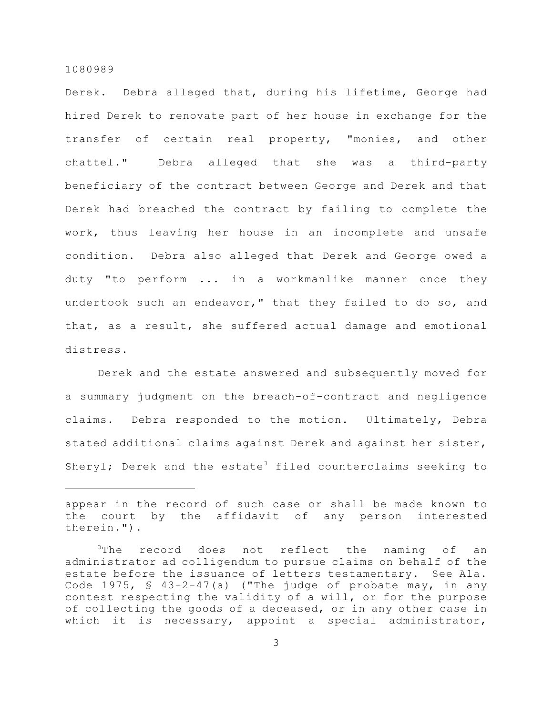Derek. Debra alleged that, during his lifetime, George had hired Derek to renovate part of her house in exchange for the transfer of certain real property, "monies, and other chattel." Debra alleged that she was a third-party beneficiary of the contract between George and Derek and that Derek had breached the contract by failing to complete the work, thus leaving her house in an incomplete and unsafe condition. Debra also alleged that Derek and George owed a duty "to perform ... in a workmanlike manner once they undertook such an endeavor," that they failed to do so, and that, as a result, she suffered actual damage and emotional distress.

Derek and the estate answered and subsequently moved for a summary judgment on the breach-of-contract and negligence claims. Debra responded to the motion. Ultimately, Debra stated additional claims against Derek and against her sister, Sheryl; Derek and the estate<sup>3</sup> filed counterclaims seeking to

appear in the record of such case or shall be made known to the court by the affidavit of any person interested therein.").

 $3$ The record does not reflect the naming of an administrator ad colligendum to pursue claims on behalf of the estate before the issuance of letters testamentary. See Ala. Code 1975, § 43-2-47(a) ("The judge of probate may, in any contest respecting the validity of a will, or for the purpose of collecting the goods of a deceased, or in any other case in which it is necessary, appoint a special administrator,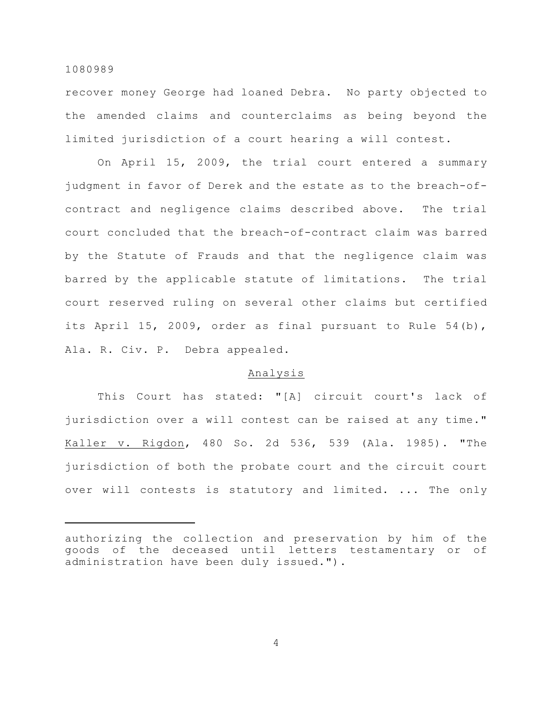recover money George had loaned Debra. No party objected to the amended claims and counterclaims as being beyond the limited jurisdiction of a court hearing a will contest.

On April 15, 2009, the trial court entered a summary judgment in favor of Derek and the estate as to the breach-ofcontract and negligence claims described above. The trial court concluded that the breach-of-contract claim was barred by the Statute of Frauds and that the negligence claim was barred by the applicable statute of limitations. The trial court reserved ruling on several other claims but certified its April 15, 2009, order as final pursuant to Rule 54(b), Ala. R. Civ. P. Debra appealed.

#### Analysis

This Court has stated: "[A] circuit court's lack of jurisdiction over a will contest can be raised at any time." Kaller v. Rigdon, 480 So. 2d 536, 539 (Ala. 1985). "The jurisdiction of both the probate court and the circuit court over will contests is statutory and limited. ... The only

authorizing the collection and preservation by him of the goods of the deceased until letters testamentary or of administration have been duly issued.").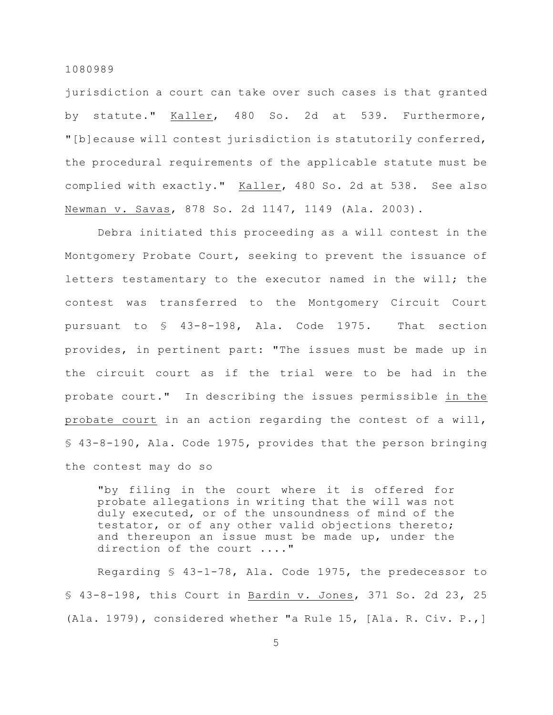jurisdiction a court can take over such cases is that granted by statute." Kaller, 480 So. 2d at 539. Furthermore, "[b]ecause will contest jurisdiction is statutorily conferred, the procedural requirements of the applicable statute must be complied with exactly." Kaller, 480 So. 2d at 538. See also Newman v. Savas, 878 So. 2d 1147, 1149 (Ala. 2003).

Debra initiated this proceeding as a will contest in the Montgomery Probate Court, seeking to prevent the issuance of letters testamentary to the executor named in the will; the contest was transferred to the Montgomery Circuit Court pursuant to § 43-8-198, Ala. Code 1975. That section provides, in pertinent part: "The issues must be made up in the circuit court as if the trial were to be had in the probate court." In describing the issues permissible in the probate court in an action regarding the contest of a will, § 43-8-190, Ala. Code 1975, provides that the person bringing the contest may do so

"by filing in the court where it is offered for probate allegations in writing that the will was not duly executed, or of the unsoundness of mind of the testator, or of any other valid objections thereto; and thereupon an issue must be made up, under the direction of the court ...."

Regarding § 43-1-78, Ala. Code 1975, the predecessor to § 43-8-198, this Court in Bardin v. Jones, 371 So. 2d 23, 25 (Ala. 1979), considered whether "a Rule 15, [Ala. R. Civ. P.,]

5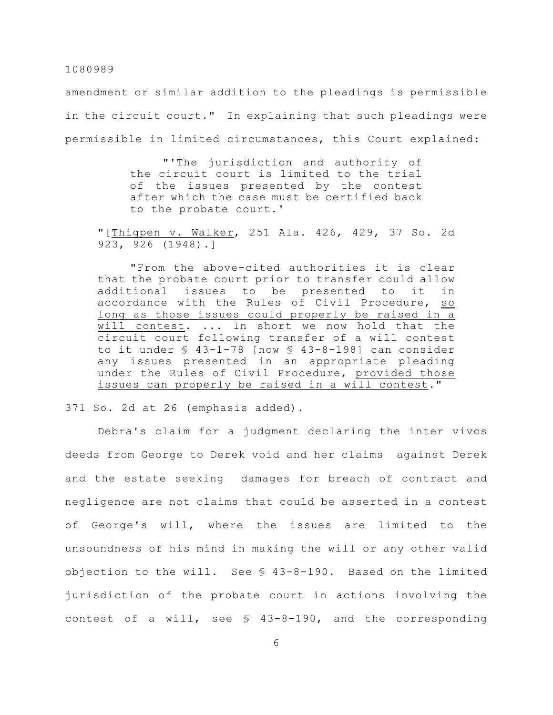amendment or similar addition to the pleadings is permissible in the circuit court." In explaining that such pleadings were permissible in limited circumstances, this Court explained:

> "'The jurisdiction and authority of the circuit court is limited to the trial of the issues presented by the contest after which the case must be certified back to the probate court.'

"[Thigpen v. Walker, 251 Ala. 426, 429, 37 So. 2d 923, 926 (1948).]

"From the above-cited authorities it is clear that the probate court prior to transfer could allow additional issues to be presented to it in accordance with the Rules of Civil Procedure, so long as those issues could properly be raised in a will contest. ... In short we now hold that the circuit court following transfer of a will contest to it under  $\S$  43-1-78 [now  $\S$  43-8-198] can consider any issues presented in an appropriate pleading under the Rules of Civil Procedure, provided those issues can properly be raised in a will contest."

371 So. 2d at 26 (emphasis added).

Debra's claim for a judgment declaring the inter vivos deeds from George to Derek void and her claims against Derek and the estate seeking damages for breach of contract and negligence are not claims that could be asserted in a contest of George's will, where the issues are limited to the unsoundness of his mind in making the will or any other valid objection to the will. See § 43-8-190. Based on the limited jurisdiction of the probate court in actions involving the contest of a will, see § 43-8-190, and the corresponding